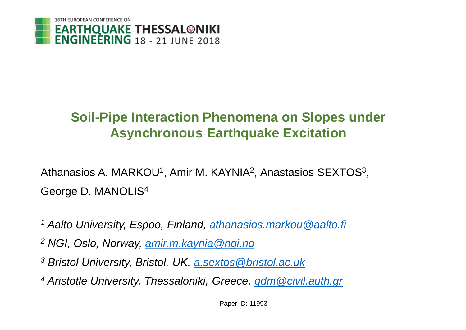

#### **Soil-Pipe Interaction Phenomena on Slopes under Asynchronous Earthquake Excitation**

Athanasios A. MARKOU<sup>1</sup>, Amir M. KAYNIA<sup>2</sup>, Anastasios SEXTOS<sup>3</sup>, George D. MANOLIS<sup>4</sup>

- *<sup>1</sup> Aalto University, Espoo, Finland, [athanasios.markou@aalto.fi](mailto:athanasios.markou@aalto.fi)*
- *<sup>2</sup> NGI, Oslo, Norway, [amir.m.kaynia@ngi.no](mailto:amir.m.kaynia@ngi.no)*
- *<sup>3</sup> Bristol University, Bristol, UK, [a.sextos@bristol.ac.uk](mailto:a.sextos@bristol.ac.uk)*
- *<sup>4</sup> Aristotle University, Thessaloniki, Greece, [gdm@civil.auth.gr](mailto:gdm@civil.auth.gr)*

Paper ID: 11993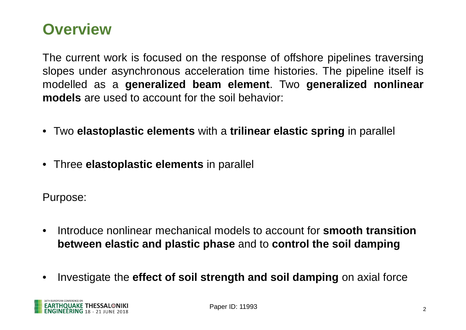#### **Overview**

The current work is focused on the response of offshore pipelines traversing slopes under asynchronous acceleration time histories. The pipeline itself is modelled as a **generalized beam element**. Two **generalized nonlinear models** are used to account for the soil behavior:

- Two **elastoplastic elements** with a **trilinear elastic spring** in parallel
- Three **elastoplastic elements** in parallel

Purpose:

- Introduce nonlinear mechanical models to account for **smooth transition between elastic and plastic phase** and to **control the soil damping**
- Investigate the **effect of soil strength and soil damping** on axial force

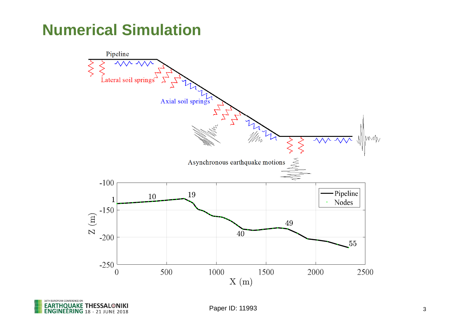# **Numerical Simulation**



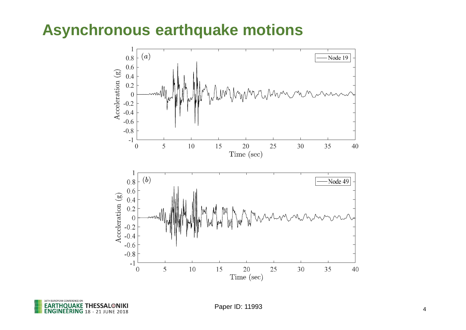### **Asynchronous earthquake motions**



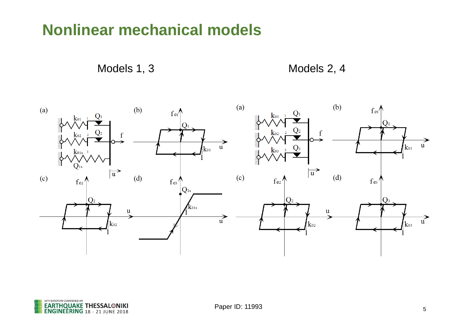## **Nonlinear mechanical models**

Models 1, 3 Models 2, 4



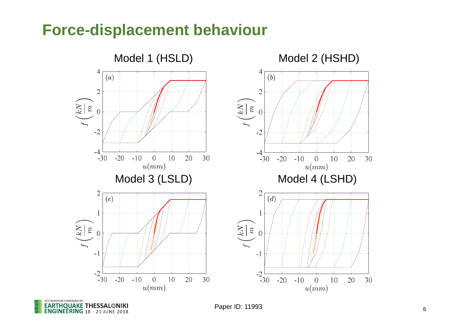### **Force-displacement behaviour**



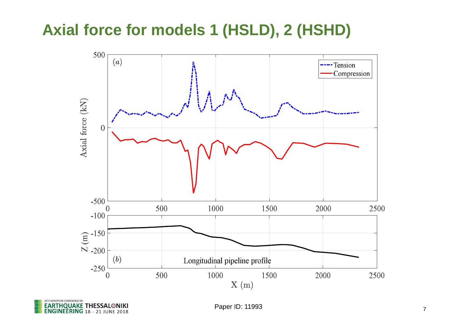# **Axial force for models 1 (HSLD), 2 (HSHD)**



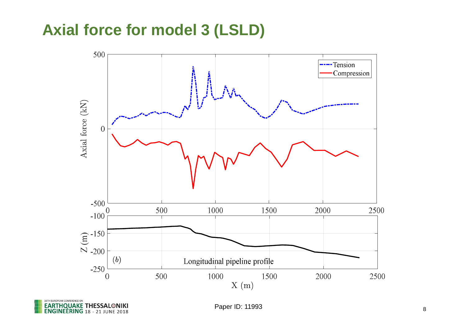## **Axial force for model 3 (LSLD)**



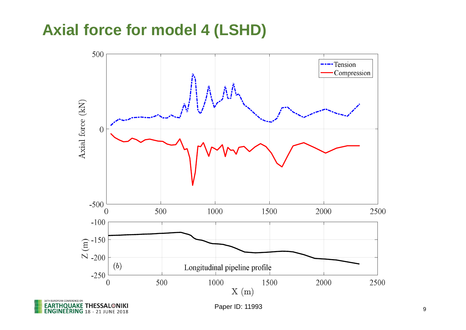### **Axial force for model 4 (LSHD)**

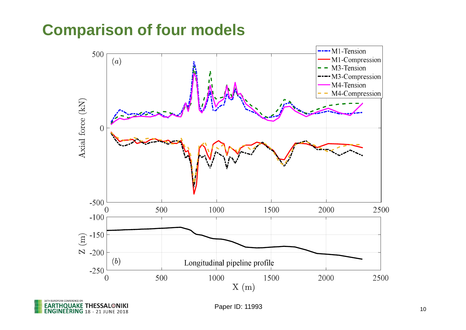# **Comparison of four models**



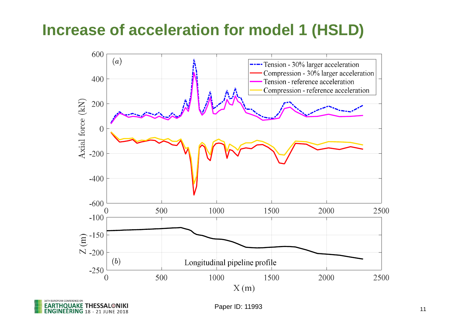# **Increase of acceleration for model 1 (HSLD)**



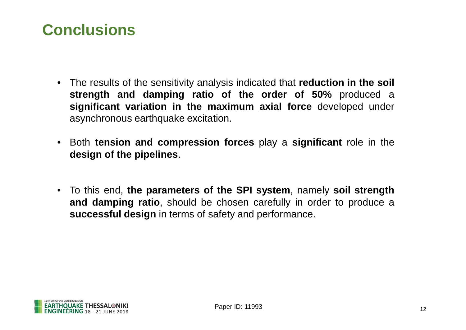# **Conclusions**

- The results of the sensitivity analysis indicated that **reduction in the soil strength and damping ratio of the order of 50%** produced a **significant variation in the maximum axial force** developed under asynchronous earthquake excitation.
- Both **tension and compression forces** play a **significant** role in the **design of the pipelines**.
- To this end, **the parameters of the SPI system**, namely **soil strength and damping ratio**, should be chosen carefully in order to produce a **successful design** in terms of safety and performance.